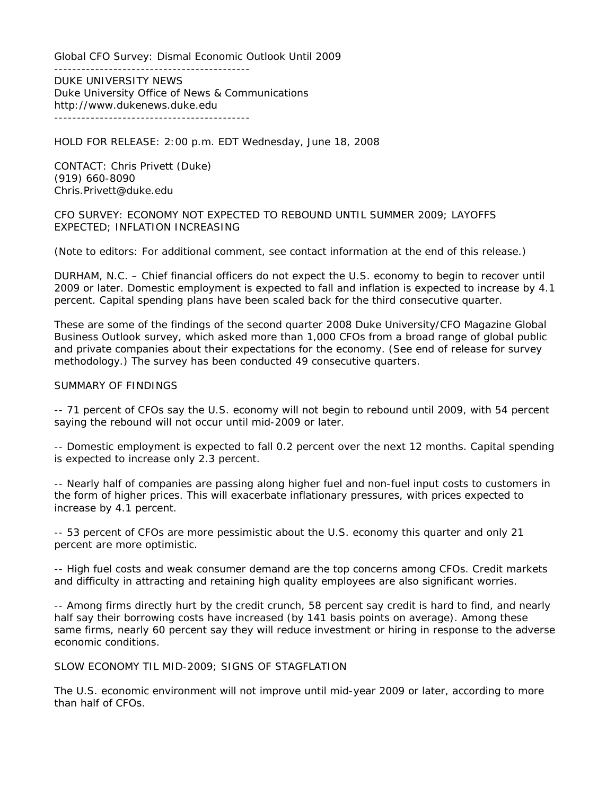Global CFO Survey: Dismal Economic Outlook Until 2009

------------------------------------------- DUKE UNIVERSITY NEWS Duke University Office of News & Communications http://www.dukenews.duke.edu -------------------------------------------

HOLD FOR RELEASE: 2:00 p.m. EDT Wednesday, June 18, 2008

CONTACT: Chris Privett (Duke) (919) 660-8090 Chris.Privett@duke.edu

CFO SURVEY: ECONOMY NOT EXPECTED TO REBOUND UNTIL SUMMER 2009; LAYOFFS EXPECTED; INFLATION INCREASING

(Note to editors: For additional comment, see contact information at the end of this release.)

DURHAM, N.C. – Chief financial officers do not expect the U.S. economy to begin to recover until 2009 or later. Domestic employment is expected to fall and inflation is expected to increase by 4.1 percent. Capital spending plans have been scaled back for the third consecutive quarter.

These are some of the findings of the second quarter 2008 Duke University/CFO Magazine Global Business Outlook survey, which asked more than 1,000 CFOs from a broad range of global public and private companies about their expectations for the economy. (See end of release for survey methodology.) The survey has been conducted 49 consecutive quarters.

# SUMMARY OF FINDINGS

-- 71 percent of CFOs say the U.S. economy will not begin to rebound until 2009, with 54 percent saying the rebound will not occur until mid-2009 or later.

-- Domestic employment is expected to fall 0.2 percent over the next 12 months. Capital spending is expected to increase only 2.3 percent.

-- Nearly half of companies are passing along higher fuel and non-fuel input costs to customers in the form of higher prices. This will exacerbate inflationary pressures, with prices expected to increase by 4.1 percent.

-- 53 percent of CFOs are more pessimistic about the U.S. economy this quarter and only 21 percent are more optimistic.

-- High fuel costs and weak consumer demand are the top concerns among CFOs. Credit markets and difficulty in attracting and retaining high quality employees are also significant worries.

-- Among firms directly hurt by the credit crunch, 58 percent say credit is hard to find, and nearly half say their borrowing costs have increased (by 141 basis points on average). Among these same firms, nearly 60 percent say they will reduce investment or hiring in response to the adverse economic conditions.

SLOW ECONOMY TIL MID-2009; SIGNS OF STAGFLATION

The U.S. economic environment will not improve until mid-year 2009 or later, according to more than half of CFOs.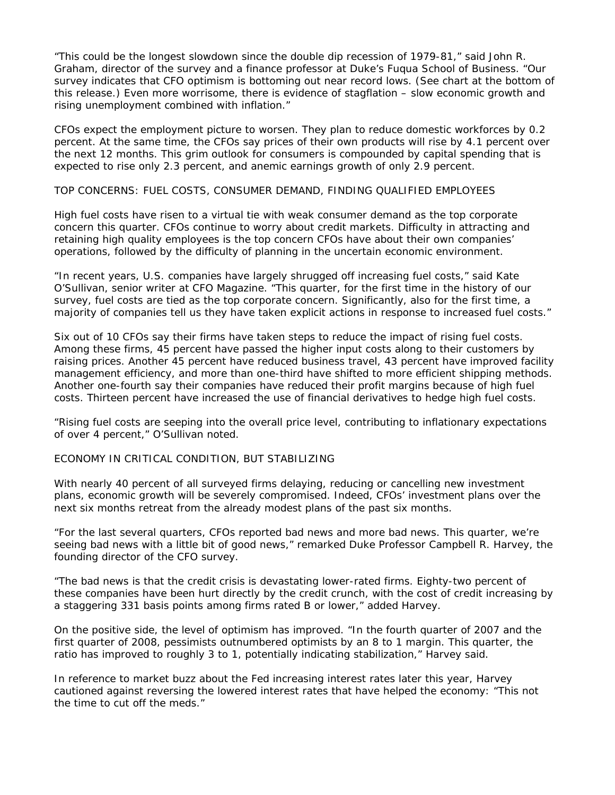"This could be the longest slowdown since the double dip recession of 1979-81," said John R. Graham, director of the survey and a finance professor at Duke's Fuqua School of Business. "Our survey indicates that CFO optimism is bottoming out near record lows. (See chart at the bottom of this release.) Even more worrisome, there is evidence of stagflation – slow economic growth and rising unemployment combined with inflation."

CFOs expect the employment picture to worsen. They plan to reduce domestic workforces by 0.2 percent. At the same time, the CFOs say prices of their own products will rise by 4.1 percent over the next 12 months. This grim outlook for consumers is compounded by capital spending that is expected to rise only 2.3 percent, and anemic earnings growth of only 2.9 percent.

### TOP CONCERNS: FUEL COSTS, CONSUMER DEMAND, FINDING QUALIFIED EMPLOYEES

High fuel costs have risen to a virtual tie with weak consumer demand as the top corporate concern this quarter. CFOs continue to worry about credit markets. Difficulty in attracting and retaining high quality employees is the top concern CFOs have about their own companies' operations, followed by the difficulty of planning in the uncertain economic environment.

"In recent years, U.S. companies have largely shrugged off increasing fuel costs," said Kate O'Sullivan, senior writer at CFO Magazine. "This quarter, for the first time in the history of our survey, fuel costs are tied as the top corporate concern. Significantly, also for the first time, a majority of companies tell us they have taken explicit actions in response to increased fuel costs."

Six out of 10 CFOs say their firms have taken steps to reduce the impact of rising fuel costs. Among these firms, 45 percent have passed the higher input costs along to their customers by raising prices. Another 45 percent have reduced business travel, 43 percent have improved facility management efficiency, and more than one-third have shifted to more efficient shipping methods. Another one-fourth say their companies have reduced their profit margins because of high fuel costs. Thirteen percent have increased the use of financial derivatives to hedge high fuel costs.

"Rising fuel costs are seeping into the overall price level, contributing to inflationary expectations of over 4 percent," O'Sullivan noted.

### ECONOMY IN CRITICAL CONDITION, BUT STABILIZING

With nearly 40 percent of all surveyed firms delaying, reducing or cancelling new investment plans, economic growth will be severely compromised. Indeed, CFOs' investment plans over the next six months retreat from the already modest plans of the past six months.

"For the last several quarters, CFOs reported bad news and more bad news. This quarter, we're seeing bad news with a little bit of good news," remarked Duke Professor Campbell R. Harvey, the founding director of the CFO survey.

"The bad news is that the credit crisis is devastating lower-rated firms. Eighty-two percent of these companies have been hurt directly by the credit crunch, with the cost of credit increasing by a staggering 331 basis points among firms rated B or lower," added Harvey.

On the positive side, the level of optimism has improved. "In the fourth quarter of 2007 and the first quarter of 2008, pessimists outnumbered optimists by an 8 to 1 margin. This quarter, the ratio has improved to roughly 3 to 1, potentially indicating stabilization," Harvey said.

In reference to market buzz about the Fed increasing interest rates later this year, Harvey cautioned against reversing the lowered interest rates that have helped the economy: "This not the time to cut off the meds."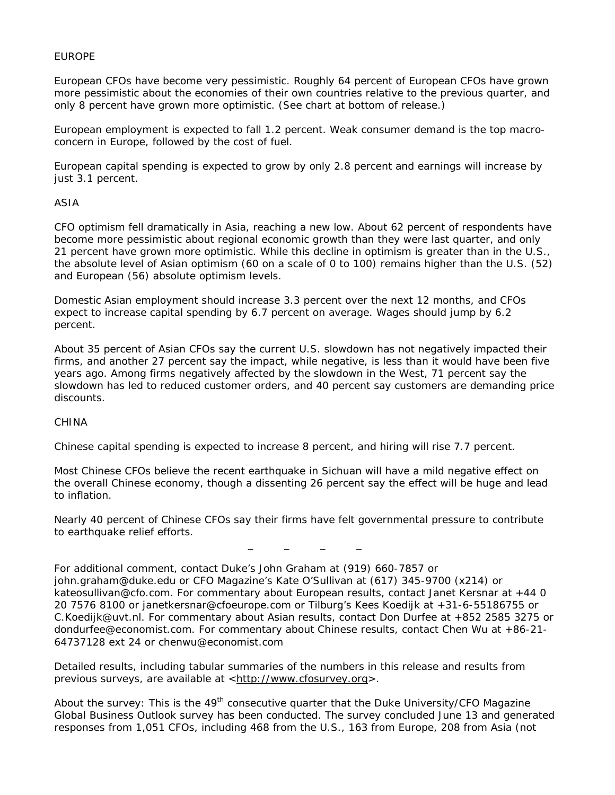# EUROPE

European CFOs have become very pessimistic. Roughly 64 percent of European CFOs have grown more pessimistic about the economies of their own countries relative to the previous quarter, and only 8 percent have grown more optimistic. (See chart at bottom of release.)

European employment is expected to fall 1.2 percent. Weak consumer demand is the top macroconcern in Europe, followed by the cost of fuel.

European capital spending is expected to grow by only 2.8 percent and earnings will increase by just 3.1 percent.

### ASIA

CFO optimism fell dramatically in Asia, reaching a new low. About 62 percent of respondents have become more pessimistic about regional economic growth than they were last quarter, and only 21 percent have grown more optimistic. While this decline in optimism is greater than in the U.S., the absolute level of Asian optimism (60 on a scale of 0 to 100) remains higher than the U.S. (52) and European (56) absolute optimism levels.

Domestic Asian employment should increase 3.3 percent over the next 12 months, and CFOs expect to increase capital spending by 6.7 percent on average. Wages should jump by 6.2 percent.

About 35 percent of Asian CFOs say the current U.S. slowdown has not negatively impacted their firms, and another 27 percent say the impact, while negative, is less than it would have been five years ago. Among firms negatively affected by the slowdown in the West, 71 percent say the slowdown has led to reduced customer orders, and 40 percent say customers are demanding price discounts.

### **CHINA**

Chinese capital spending is expected to increase 8 percent, and hiring will rise 7.7 percent.

Most Chinese CFOs believe the recent earthquake in Sichuan will have a mild negative effect on the overall Chinese economy, though a dissenting 26 percent say the effect will be huge and lead to inflation.

Nearly 40 percent of Chinese CFOs say their firms have felt governmental pressure to contribute to earthquake relief efforts.

\_ \_ \_ \_

For additional comment, contact Duke's John Graham at (919) 660-7857 or [john.graham@duke.edu](mailto:john.graham@duke.edu) or *CFO* Magazine's Kate O'Sullivan at (617) 345-9700 (x214) or kateosullivan@cfo.com. For commentary about European results, contact Janet Kersnar at +44 0 20 7576 8100 or [janetkersnar@cfoeurope.com](mailto:janetkersnar@cfoeurope.com) or Tilburg's Kees Koedijk at +31-6-55186755 or C.Koedijk@uvt.nl. For commentary about Asian results, contact Don Durfee at +852 2585 3275 or dondurfee@economist.com. For commentary about Chinese results, contact Chen Wu at +86-21- 64737128 ext 24 or chenwu@economist.com

Detailed results, including tabular summaries of the numbers in this release and results from previous surveys, are available at [<http://www.cfosurvey.org](http://www.cfosurvey.orgduke.edu/%7Ejgraham/fei.html)>.

About the survey: This is the 49<sup>th</sup> consecutive quarter that the Duke University/*CFO* Magazine Global Business Outlook survey has been conducted. The survey concluded June 13 and generated responses from 1,051 CFOs, including 468 from the U.S., 163 from Europe, 208 from Asia (not